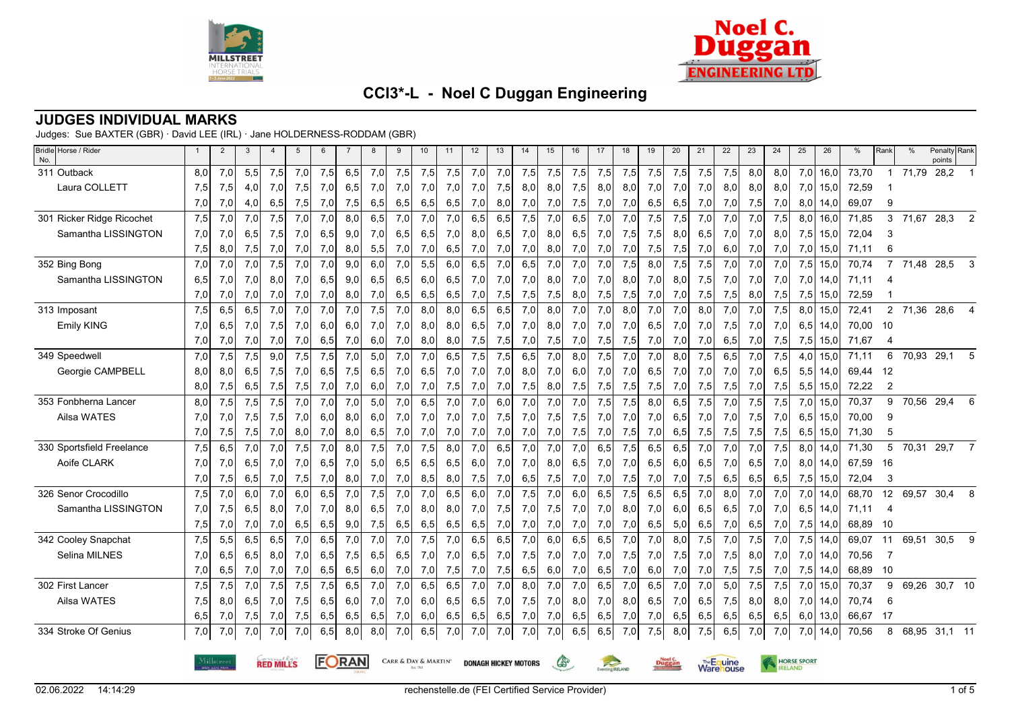



### **JUDGES INDIVIDUAL MARKS**

Judges: Sue BAXTER (GBR) · David LEE (IRL) · Jane HOLDERNESS-RODDAM (GBR)

| Bridle Horse / Rider<br>No. |                                                                                       | $\overline{2}$ | 3   | $\overline{4}$ | 5   | 6   | $\overline{7}$ | 8   | 9   | 10  | 11  | 12  | 13  | 14                    | 15  | 16  | 17  | 18  | 19                              | 20  | 21  | 22                           | 23  | 24  | 25  | 26   | %     | Rank           | %            | Penalty Rank<br>points |                          |
|-----------------------------|---------------------------------------------------------------------------------------|----------------|-----|----------------|-----|-----|----------------|-----|-----|-----|-----|-----|-----|-----------------------|-----|-----|-----|-----|---------------------------------|-----|-----|------------------------------|-----|-----|-----|------|-------|----------------|--------------|------------------------|--------------------------|
| 311 Outback                 | 8,0                                                                                   | 7,0            | 5,5 | 7,5            | 7,0 | 7,5 | 6,5            | 7,0 | 7,5 | 7,5 | 7,5 | 7,0 | 7,0 | 7,5                   | 7,5 | 7,5 | 7,5 | 7,5 | 7,5                             | 7,5 | 7,5 | 7,5                          | 8,0 | 8,0 | 7,0 | 16,0 | 73,70 | $\overline{1}$ | 71,79        | 28,2                   |                          |
| Laura COLLETT               | 7,5                                                                                   | 7,5            | 4,0 | 7,0            | 7,5 | 7,0 | 6,5            | 7,0 | 7,0 | 7,0 | 7,0 | 7,0 | 7,5 | 8,0                   | 8,0 | 7,5 | 8,0 | 8,0 | 7,0                             | 7,0 | 7,0 | 8,0                          | 8,0 | 8,0 | 7,0 | 15,0 | 72,59 |                |              |                        |                          |
|                             | 7,0                                                                                   | 7,0            | 4,0 | 6,5            | 7,5 | 7,0 | 7,5            | 6,5 | 6,5 | 6,5 | 6,5 | 7,0 | 8,0 | 7,0                   | 7,0 | 7,5 | 7,0 | 7,0 | 6,5                             | 6,5 | 7,0 | 7,0                          | 7,5 | 7,0 | 8,0 | 14,0 | 69,07 | 9              |              |                        |                          |
| 301 Ricker Ridge Ricochet   | 7,5                                                                                   | 7,0            | 7,0 | 7,5            | 7,0 | 7,0 | 8,0            | 6,5 | 7,0 | 7,0 | 7,0 | 6,5 | 6,5 | 7,5                   | 7,0 | 6,5 | 7,0 | 7,0 | 7,5                             | 7,5 | 7,0 | 7,0                          | 7,0 | 7,5 | 8,0 | 16,0 | 71,85 | 3              | 71,67        | 28,3                   | 2                        |
| Samantha LISSINGTON         | 7,0                                                                                   | 7,0            | 6,5 | 7,5            | 7,0 | 6,5 | 9,0            | 7,0 | 6,5 | 6,5 | 7,0 | 8,0 | 6,5 | 7,0                   | 8,0 | 6,5 | 7,0 | 7,5 | 7,5                             | 8,0 | 6,5 | 7,0                          | 7,0 | 8,0 | 7,5 | 15,0 | 72,04 | 3              |              |                        |                          |
|                             | 7,5                                                                                   | 8,0            | 7,5 | 7,0            | 7,0 | 7,0 | 8,0            | 5,5 | 7,0 | 7,0 | 6,5 | 7,0 | 7,0 | 7,0                   | 8,0 | 7,0 | 7,0 | 7,0 | 7,5                             | 7,5 | 7,0 | 6,0                          | 7,0 | 7,0 | 7,0 | 15,0 | 71,11 | 6              |              |                        |                          |
| 352 Bing Bong               | 7,0                                                                                   | 7,0            | 7,0 | 7,5            | 7,0 | 7,0 | 9,0            | 6,0 | 7,0 | 5,5 | 6,0 | 6,5 | 7,0 | 6,5                   | 7,0 | 7,0 | 7,0 | 7,5 | 8,0                             | 7,5 | 7,5 | 7,0                          | 7,0 | 7,0 | 7,5 | 15,0 | 70,74 | $\overline{7}$ | 71,48        | 28,5                   | 3                        |
| Samantha LISSINGTON         | 6,5                                                                                   | 7,0            | 7,0 | 8,0            | 7,0 | 6,5 | 9,0            | 6,5 | 6,5 | 6,0 | 6,5 | 7,0 | 7,0 | 7,0                   | 8,0 | 7,0 | 7,0 | 8,0 | 7,0                             | 8,0 | 7,5 | 7,0                          | 7,0 | 7,0 | 7,0 | 14,0 | 71,11 | 4              |              |                        |                          |
|                             | 7,0                                                                                   | 7,0            | 7,0 | 7,0            | 7,0 | 7,0 | 8,0            | 7,0 | 6,5 | 6,5 | 6,5 | 7,0 | 7,5 | 7,5                   | 7,5 | 8,0 | 7,5 | 7,5 | 7,0                             | 7,0 | 7,5 | 7,5                          | 8,0 | 7,5 | 7,5 | 15,0 | 72,59 |                |              |                        |                          |
| 313 Imposant                | 7,5                                                                                   | 6,5            | 6,5 | 7,0            | 7,0 | 7,0 | 7,0            | 7,5 | 7,0 | 8,0 | 8,0 | 6,5 | 6,5 | 7,0                   | 8,0 | 7,0 | 7,0 | 8,0 | 7,0                             | 7,0 | 8,0 | 7,0                          | 7,0 | 7,5 | 8,0 | 15,0 | 72,41 |                | 2 71,36 28,6 |                        | $\overline{\mathcal{A}}$ |
| <b>Emily KING</b>           | 7,0                                                                                   | 6,5            | 7,0 | 7,5            | 7,0 | 6,0 | 6,0            | 7,0 | 7,0 | 8,0 | 8,0 | 6,5 | 7,0 | 7,0                   | 8,0 | 7,0 | 7,0 | 7,0 | 6,5                             | 7,0 | 7,0 | 7,5                          | 7,0 | 7,0 | 6,5 | 14,0 | 70,00 | - 10           |              |                        |                          |
|                             | 7,0                                                                                   | 7,0            | 7,0 | 7,0            | 7,0 | 6,5 | 7,0            | 6,0 | 7,0 | 8,0 | 8,0 | 7,5 | 7,5 | 7,0                   | 7,5 | 7,0 | 7,5 | 7,5 | 7,0                             | 7,0 | 7,0 | 6,5                          | 7,0 | 7,5 | 7,5 | 15,0 | 71,67 | 4              |              |                        |                          |
| 349 Speedwell               | 7,0                                                                                   | 7,5            | 7,5 | 9,0            | 7,5 | 7,5 | 7,0            | 5,0 | 7,0 | 7,0 | 6,5 | 7,5 | 7,5 | 6,5                   | 7,0 | 8,0 | 7,5 | 7,0 | 7,0                             | 8,0 | 7,5 | 6,5                          | 7,0 | 7,5 | 4,0 | 15,0 | 71,11 | 6              | 70,93        | 29,1                   | 5                        |
| Georgie CAMPBELL            | 8,0                                                                                   | 8,0            | 6,5 | 7,5            | 7,0 | 6,5 | 7,5            | 6,5 | 7,0 | 6,5 | 7,0 | 7,0 | 7,0 | 8,0                   | 7,0 | 6,0 | 7,0 | 7,0 | 6,5                             | 7,0 | 7,0 | 7,0                          | 7,0 | 6,5 | 5,5 | 14.0 | 69.44 | 12             |              |                        |                          |
|                             | 8,0                                                                                   | 7,5            | 6,5 | 7,5            | 7,5 | 7,0 | 7,0            | 6,0 | 7,0 | 7,0 | 7,5 | 7,0 | 7,0 | 7,5                   | 8,0 | 7,5 | 7,5 | 7,5 | 7,5                             | 7,0 | 7,5 | 7,5                          | 7,0 | 7,5 | 5,5 | 15,0 | 72,22 | $\overline{2}$ |              |                        |                          |
| 353 Fonbherna Lancer        | 8,0                                                                                   | 7,5            | 7,5 | 7,5            | 7,0 | 7,0 | 7,0            | 5,0 | 7,0 | 6,5 | 7,0 | 7,0 | 6,0 | 7,0                   | 7,0 | 7,0 | 7,5 | 7,5 | 8,0                             | 6,5 | 7,5 | 7,0                          | 7,5 | 7,5 | 7,0 | 15,0 | 70,37 | 9              | 70,56        | 29,4                   | 6                        |
| Ailsa WATES                 | 7,0                                                                                   | 7,0            | 7,5 | 7,5            | 7,0 | 6,0 | 8,0            | 6,0 | 7,0 | 7,0 | 7,0 | 7,0 | 7,5 | 7,0                   | 7,5 | 7,5 | 7,0 | 7,0 | 7,0                             | 6,5 | 7,0 | 7,0                          | 7,5 | 7,0 | 6,5 | 15,0 | 70,00 | 9              |              |                        |                          |
|                             | 7,0                                                                                   | 7,5            | 7,5 | 7,0            | 8,0 | 7,0 | 8,0            | 6,5 | 7,0 | 7,0 | 7,0 | 7,0 | 7,0 | 7,0                   | 7,0 | 7,5 | 7,0 | 7,5 | 7,0                             | 6,5 | 7,5 | 7,5                          | 7,5 | 7,5 | 6,5 | 15,0 | 71,30 | 5              |              |                        |                          |
| 330 Sportsfield Freelance   | 7,5                                                                                   | 6,5            | 7.0 | 7.0            | 7,5 | 7,0 | 8.0            | 7,5 | 7,0 | 7,5 | 8.0 | 7,0 | 6.5 | 7,0                   | 7,0 | 7,0 | 6.5 | 7,5 | 6.5                             | 6.5 | 7,0 | 7.0                          | 7.0 | 7,5 | 8.0 | 14,0 | 71.30 | 5              | 70,31        | 29,7                   | $\overline{7}$           |
| Aoife CLARK                 | 7,0                                                                                   | 7,0            | 6,5 | 7,0            | 7,0 | 6,5 | 7,0            | 5,0 | 6,5 | 6,5 | 6,5 | 6,0 | 7,0 | 7,0                   | 8,0 | 6,5 | 7,0 | 7,0 | 6,5                             | 6,0 | 6,5 | 7,0                          | 6,5 | 7,0 | 8,0 | 14,0 | 67,59 | 16             |              |                        |                          |
|                             | 7,0                                                                                   | 7,5            | 6,5 | 7,0            | 7,5 | 7,0 | 8,0            | 7,0 | 7,0 | 8,5 | 8,0 | 7,5 | 7,0 | 6,5                   | 7,5 | 7,0 | 7,0 | 7,5 | 7,0                             | 7,0 | 7,5 | 6,5                          | 6,5 | 6,5 | 7,5 | 15,0 | 72,04 | 3              |              |                        |                          |
| 326 Senor Crocodillo        | 7,5                                                                                   | 7,0            | 6,0 | 7,0            | 6,0 | 6,5 | 7,0            | 7,5 | 7,0 | 7,0 | 6,5 | 6,0 | 7,0 | 7,5                   | 7,0 | 6,0 | 6,5 | 7,5 | 6,5                             | 6,5 | 7,0 | 8,0                          | 7,0 | 7,0 | 7,0 | 14.0 | 68,70 | 12             | 69,57        | 30,4                   | 8                        |
| Samantha LISSINGTON         | 7,0                                                                                   | 7,5            | 6,5 | 8,0            | 7,0 | 7,0 | 8,0            | 6,5 | 7,0 | 8,0 | 8,0 | 7,0 | 7,5 | 7,0                   | 7,5 | 7,0 | 7,0 | 8,0 | 7,0                             | 6,0 | 6,5 | 6,5                          | 7,0 | 7,0 | 6,5 | 14,0 | 71,11 | $\overline{4}$ |              |                        |                          |
|                             | 7,5                                                                                   | 7,0            | 7,0 | 7,0            | 6,5 | 6,5 | 9,0            | 7,5 | 6,5 | 6,5 | 6,5 | 6,5 | 7,0 | 7,0                   | 7,0 | 7,0 | 7,0 | 7,0 | 6,5                             | 5,0 | 6,5 | 7,0                          | 6,5 | 7,0 | 7,5 | 14,0 | 68.89 | -10            |              |                        |                          |
| 342 Cooley Snapchat         | 7,5                                                                                   | 5,5            | 6,5 | 6,5            | 7,0 | 6,5 | 7,0            | 7,0 | 7,0 | 7,5 | 7,0 | 6,5 | 6,5 | 7,0                   | 6,0 | 6,5 | 6,5 | 7,0 | 7,0                             | 8.0 | 7,5 | 7,0                          | 7,5 | 7.0 | 7,5 | 14.0 | 69,07 | 11             | 69,51        | 30,5                   | 9                        |
| Selina MILNES               | 7,0                                                                                   | 6,5            | 6,5 | 8,0            | 7,0 | 6,5 | 7,5            | 6,5 | 6,5 | 7,0 | 7,0 | 6,5 | 7,0 | 7,5                   | 7,0 | 7,0 | 7,0 | 7,5 | 7,0                             | 7,5 | 7,0 | 7,5                          | 8,0 | 7,0 | 7,0 | 14,0 | 70,56 | $\overline{7}$ |              |                        |                          |
|                             | 7,0                                                                                   | 6,5            | 7,0 | 7,0            | 7,0 | 6,5 | 6,5            | 6,0 | 7,0 | 7,0 | 7,5 | 7,0 | 7,5 | 6,5                   | 6,0 | 7,0 | 6,5 | 7,0 | 6,0                             | 7,0 | 7,0 | 7,5                          | 7,5 | 7,0 | 7,5 | 14,0 | 68,89 | -10            |              |                        |                          |
| 302 First Lancer            | 7,5                                                                                   | 7,5            | 7,0 | 7,5            | 7,5 | 7,5 | 6,5            | 7,0 | 7,0 | 6,5 | 6,5 | 7,0 | 7,0 | 8,0                   | 7,0 | 7,0 | 6,5 | 7,0 | 6,5                             | 7,0 | 7,0 | 5,0                          | 7,5 | 7,5 | 7,0 | 15,0 | 70,37 | 9              | 69,26        | 30,7 10                |                          |
| Ailsa WATES                 | 7,5                                                                                   | 8,0            | 6,5 | 7,0            | 7,5 | 6,5 | 6,0            | 7,0 | 7,0 | 6,0 | 6,5 | 6,5 | 7,0 | 7,5                   | 7,0 | 8,0 | 7,0 | 8,0 | 6,5                             | 7,0 | 6,5 | 7,5                          | 8,0 | 8,0 | 7,0 | 14,0 | 70,74 | 6              |              |                        |                          |
|                             | 6,5                                                                                   | 7,0            | 7,5 | 7,0            | 7,5 | 6,5 | 6,5            | 6,5 | 7,0 | 6,0 | 6,5 | 6,5 | 6,5 | 7,0                   | 7,0 | 6,5 | 6,5 | 7,0 | 7,0                             | 6,5 | 6,5 | 6,5                          | 6,5 | 6,5 | 6,0 | 13,0 | 66,67 | -17            |              |                        |                          |
| 334 Stroke Of Genius        | 7,0                                                                                   | 7,0            | 7.0 | 7.0            | 7.0 | 6,5 | 8,0            | 8,0 | 7,0 | 6,5 | 7,0 | 7,0 | 7,0 | 7,0                   | 7,0 | 6.5 | 6,5 | 7,0 | 7,5                             | 8,0 | 7,5 | 6,5                          | 7,0 | 7,0 | 7,0 | 14.0 | 70,56 | 8              | 68,95        | $31,1$ 11              |                          |
|                             | FORAN<br>CARR & DAY & MARTIN'<br>œ<br><b>DONAGH HICKEY MOTORS</b><br><b>RED MILLS</b> |                |     |                |     |     |                |     |     |     |     |     |     | venting <b>RFLAND</b> |     |     |     |     | The Equine<br><b>Ware</b> louse |     |     | <b>HORSE SPORT</b><br>RELAND |     |     |     |      |       |                |              |                        |                          |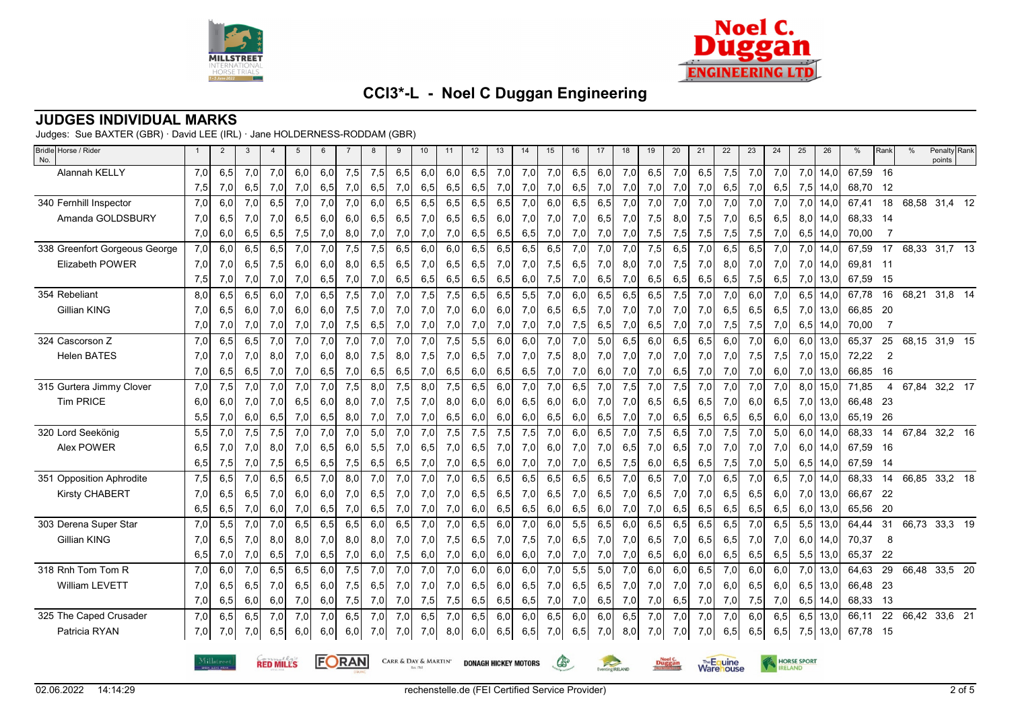



### **JUDGES INDIVIDUAL MARKS**

Judges: Sue BAXTER (GBR) · David LEE (IRL) · Jane HOLDERNESS-RODDAM (GBR)

| Bridle Horse / Rider<br>No.   |     | 2          | 3   | $\overline{4}$   | 5   | 6   |              | 8   | 9                    | 10  | 11  | 12  | 13                          | 14  | 15           | 16  | 17              | 18  | 19  | 20            | 21  | 22                      | 23   | 24  | 25                 | 26         | %        | Rank           | $\%$          | Penalty Rank<br>points |  |
|-------------------------------|-----|------------|-----|------------------|-----|-----|--------------|-----|----------------------|-----|-----|-----|-----------------------------|-----|--------------|-----|-----------------|-----|-----|---------------|-----|-------------------------|------|-----|--------------------|------------|----------|----------------|---------------|------------------------|--|
| Alannah KELLY                 | 7,0 | 6,5        | 7,0 | 7,0              | 6,0 | 6,0 | 7,5          | 7,5 | 6,5                  | 6,0 | 6,0 | 6,5 | 7,0                         | 7,0 | 7,0          | 6,5 | 6,0             | 7,0 | 6,5 | 7,0           | 6,5 | 7,5                     | 7,0  | 7,0 | 7,0                | 14,0       | 67,59    | 16             |               |                        |  |
|                               | 7,5 | 7,0        | 6,5 | 7,0              | 7,0 | 6,5 | 7,0          | 6,5 | 7,0                  | 6,5 | 6,5 | 6,5 | 7,0                         | 7,0 | 7,0          | 6,5 | 7,0             | 7,0 | 7,0 | 7,0           | 7,0 | 6,5                     | 7,0  | 6,5 | 7,5                | 14,0       | 68,70    | 12             |               |                        |  |
| 340 Fernhill Inspector        | 7,0 | 6,0        | 7,0 | 6, 5             | 7,0 | 7,0 | 7,0          | 6.0 | 6,5                  | 6,5 | 6,5 | 6,5 | 6,5                         | 7,0 | 6,0          | 6,5 | 6,5             | 7,0 | 7,0 | 7,0           | 7,0 | 7,0                     | 7,0  | 7,0 | 7,0                | 14.0       | 67,41    | 18             | 68,58 31,4 12 |                        |  |
| Amanda GOLDSBURY              | 7,0 | 6,5        | 7,0 | 7,0              | 6,5 | 6,0 | 6,0          | 6,5 | 6,5                  | 7,0 | 6,5 | 6,5 | 6,0                         | 7,0 | 7,0          | 7,0 | 6,5             | 7,0 | 7,5 | 8,0           | 7,5 | 7,0                     | 6,5  | 6,5 | 8,0                | 14,0       | 68,33    | - 14           |               |                        |  |
|                               | 7,0 | 6,0        | 6,5 | 6,5              | 7,5 | 7,0 | 8,0          | 7,0 | 7,0                  | 7,0 | 7,0 | 6,5 | 6,5                         | 6,5 | 7,0          | 7,0 | 7,0             | 7,0 | 7,5 | 7,5           | 7,5 | 7,5                     | 7,5  | 7,0 | 6,5                | 14,0       | 70,00    | $\overline{7}$ |               |                        |  |
| 338 Greenfort Gorgeous George | 7,0 | 6,0        | 6,5 | 6.5              | 7,0 | 7,0 | 7,5          | 7,5 | 6.5                  | 6.0 | 6.0 | 6,5 | 6,5                         | 6,5 | 6,5          | 7,0 | 7,0             | 7,0 | 7,5 | 6.5           | 7,0 | 6.5                     | 6.5  | 7.0 | 7,0                | 14.0       | 67,59    | 17             | 68,33         | 31,7 13                |  |
| <b>Elizabeth POWER</b>        | 7,0 | 7,0        | 6,5 | 7,5              | 6,0 | 6.0 | 8.0          | 6.5 | 6,5                  | 7,0 | 6,5 | 6,5 | 7,0                         | 7,0 | 7,5          | 6,5 | 7,0             | 8,0 | 7,0 | 7,5           | 7,0 | 8,0                     | 7,01 | 7,0 | 7,0                | 14.0       | 69,81 11 |                |               |                        |  |
|                               | 7,5 | 7,0        | 7,0 | 7,0              | 7,0 | 6,5 | 7,0          | 7,0 | 6,5                  | 6,5 | 6,5 | 6,5 | 6,5                         | 6,0 | 7,5          | 7,0 | 6,5             | 7,0 | 6,5 | 6,5           | 6,5 | 6,5                     | 7,5  | 6,5 | 7,0                | 13,0       | 67,59    | 15             |               |                        |  |
| 354 Rebeliant                 | 8,0 | 6,5        | 6,5 | 6,0              | 7,0 | 6,5 | 7,5          | 7,0 | 7,0                  | 7,5 | 7,5 | 6,5 | 6,5                         | 5,5 | 7,0          | 6,0 | 6,5             | 6,5 | 6,5 | 7,5           | 7,0 | 7,0                     | 6.0  | 7,0 | 6,5                | 14.0       | 67,78    | 16             | 68,21 31,8 14 |                        |  |
| Gillian KING                  | 7,0 | 6,5        | 6,0 | 7,0              | 6,0 | 6,0 | 7,5          | 7,0 | 7,0                  | 7,0 | 7,0 | 6,0 | 6,0                         | 7,0 | 6,5          | 6,5 | 7,0             | 7,0 | 7,0 | 7,0           | 7,0 | 6,5                     | 6,5  | 6,5 | 7,0                | 13,0       | 66,85    | -20            |               |                        |  |
|                               | 7,0 | 7,0        | 7,0 | 7,0              | 7,0 | 7,0 | 7,5          | 6,5 | 7,0                  | 7,0 | 7,0 | 7,0 | 7,0                         | 7,0 | 7,0          | 7,5 | 6,5             | 7,0 | 6,5 | 7,0           | 7,0 | 7,5                     | 7,5  | 7,0 | 6,5                | 14,0       | 70,00    | 7              |               |                        |  |
| 324 Cascorson Z               | 7,0 | 6,5        | 6,5 | 7,0              | 7,0 | 7,0 | 7,0          | 7,0 | 7,0                  | 7,0 | 7,5 | 5,5 | 6,0                         | 6,0 | 7,0          | 7,0 | 5,0             | 6,5 | 6,0 | 6,5           | 6,5 | 6,0                     | 7,0  | 6,0 | 6,0                | 13,0       | 65,37    | 25             | 68,15         | 31,9 15                |  |
| <b>Helen BATES</b>            | 7,0 | 7,0        | 7,0 | 8,0              | 7,0 | 6,0 | 8,0          | 7,5 | 8,0                  | 7,5 | 7,0 | 6,5 | 7,0                         | 7,0 | 7,5          | 8,0 | 7,0             | 7,0 | 7,0 | 7,0           | 7,0 | 7,0                     | 7,5  | 7,5 | 7,0                | 15,0       | 72,22    | $\overline{2}$ |               |                        |  |
|                               | 7,0 | 6,5        | 6,5 | 7,0              | 7,0 | 6,5 | 7,0          | 6,5 | 6,5                  | 7,0 | 6,5 | 6,0 | 6,5                         | 6,5 | 7,0          | 7,0 | 6,0             | 7,0 | 7,0 | 6,5           | 7,0 | 7,0                     | 7,0  | 6,0 | 7,0                | 13,0       | 66,85    | 16             |               |                        |  |
| 315 Gurtera Jimmy Clover      | 7,0 | 7,5        | 7,0 | 7,0              | 7,0 | 7,0 | 7,5          | 8.0 | 7,5                  | 8,0 | 7,5 | 6,5 | 6,0                         | 7,0 | 7,0          | 6,5 | 7,0             | 7,5 | 7,0 | 7,5           | 7,0 | 7,0                     | 7,0  | 7,0 | 8,0                | 15,0       | 71,85    | 4              | 67.84         | 32,2 17                |  |
| <b>Tim PRICE</b>              | 6,0 | 6,0        | 7,0 | 7,0              | 6,5 | 6,0 | 8,0          | 7,0 | 7,5                  | 7,0 | 8,0 | 6,0 | 6,0                         | 6,5 | 6,0          | 6,0 | 7,0             | 7,0 | 6,5 | 6,5           | 6,5 | 7,0                     | 6,0  | 6,5 | 7,0                | 13,0       | 66,48    | 23             |               |                        |  |
|                               | 5,5 | 7,0        | 6,0 | 6,5              | 7,0 | 6,5 | 8,0          | 7,0 | 7,0                  | 7,0 | 6,5 | 6,0 | 6,0                         | 6,0 | 6,5          | 6,0 | 6,5             | 7,0 | 7,0 | 6,5           | 6,5 | 6,5                     | 6,5  | 6,0 | 6,0                | 13,0       | 65,19    | - 26           |               |                        |  |
| 320 Lord Seekönig             | 5,5 | 7,0        | 7,5 | 7,5              | 7,0 | 7,0 | 7,0          | 5,0 | 7,0                  | 7,0 | 7,5 | 7,5 | 7,5                         | 7,5 | 7,0          | 6.0 | 6,5             | 7,0 | 7,5 | 6,5           | 7,0 | 7,5                     | 7,0  | 5.0 | 6,0                | 14.0       | 68,33    | 14             | 67,84         | 32,2 16                |  |
| Alex POWER                    | 6,5 | 7,0        | 7,0 | 8,0              | 7,0 | 6,5 | 6,0          | 5,5 | 7,0                  | 6,5 | 7,0 | 6,5 | 7,0                         | 7,0 | 6,0          | 7,0 | 7,0             | 6,5 | 7,0 | 6,5           | 7,0 | 7,0                     | 7,0  | 7,0 |                    | $6,0$ 14,0 | 67,59    | -16            |               |                        |  |
|                               | 6,5 | 7,5        | 7,0 | 7,5              | 6,5 | 6,5 | 7,5          | 6,5 | 6,5                  | 7,0 | 7,0 | 6,5 | 6,0                         | 7,0 | 7,0          | 7,0 | 6,5             | 7,5 | 6,0 | 6,5           | 6,5 | 7,5                     | 7,0  | 5,0 | 6,5                | 14,0       | 67,59    | -14            |               |                        |  |
| 351 Opposition Aphrodite      | 7,5 | 6,5        | 7,0 | 6,5              | 6,5 | 7,0 | 8,0          | 7,0 | 7,0                  | 7,0 | 7,0 | 6,5 | 6,5                         | 6,5 | 6,5          | 6,5 | 6,5             | 7,0 | 6,5 | 7,0           | 7,0 | 6,5                     | 7,0  | 6,5 | 7,0                | 14,0       | 68,33    | 14             | 66,85 33,2 18 |                        |  |
| <b>Kirsty CHABERT</b>         | 7,0 | 6,5        | 6,5 | 7,0              | 6,0 | 6,0 | 7,0          | 6,5 | 7,0                  | 7,0 | 7,0 | 6,5 | 6,5                         | 7,0 | 6,5          | 7,0 | 6,5             | 7,0 | 6,5 | 7,0           | 7,0 | 6,5                     | 6,5  | 6,0 | 7,0                | 13,0       | 66,67    | - 22           |               |                        |  |
|                               | 6,5 | 6,5        | 7,0 | 6,0              | 7,0 | 6,5 | 7,0          | 6,5 | 7,0                  | 7,0 | 7,0 | 6,0 | 6,5                         | 6,5 | 6,0          | 6,5 | 6,0             | 7,0 | 7,0 | 6,5           | 6,5 | 6,5                     | 6,5  | 6,5 | 6,0                | 13,0       | 65,56    | - 20           |               |                        |  |
| 303 Derena Super Star         | 7,0 | 5,5        | 7,0 | 7,0              | 6,5 | 6,5 | 6,5          | 6,0 | 6,5                  | 7,0 | 7,0 | 6,5 | 6,0                         | 7,0 | 6,0          | 5,5 | 6,5             | 6,0 | 6,5 | 6,5           | 6,5 | 6,5                     | 7,0  | 6,5 | 5,5                | 13,0       | 64,44    | 31             | 66,73         | 33,3 19                |  |
| Gillian KING                  | 7,0 | 6,5        | 7,0 | 8,0              | 8,0 | 7,0 | 8,0          | 8,0 | 7,0                  | 7,0 | 7,5 | 6,5 | 7,0                         | 7,5 | 7,0          | 6,5 | 7,0             | 7,0 | 6,5 | 7,0           | 6,5 | 6,5                     | 7,0  | 7,0 | 6,0                | 14,0       | 70,37    | 8              |               |                        |  |
|                               | 6,5 | 7,0        | 7,0 | 6,5              | 7,0 | 6,5 | 7,0          | 6,0 | 7,5                  | 6,0 | 7,0 | 6,0 | 6,0                         | 6,0 | 7,0          | 7,0 | 7,0             | 7,0 | 6,5 | 6,0           | 6,0 | 6,5                     | 6,5  | 6,5 | 5,5                | 13,0       | 65,37    | -22            |               |                        |  |
| 318 Rnh Tom Tom R             | 7,0 | 6,0        | 7,0 | 6, 5             | 6,5 | 6,0 | 7,5          | 7,0 | 7,0                  | 7,0 | 7,0 | 6,0 | 6,0                         | 6,0 | 7,0          | 5,5 | 5,0             | 7,0 | 6,0 | 6,0           | 6,5 | 7,0                     | 6,0  | 6,0 | 7,0                | 13,0       | 64,63    | 29             | 66,48 33,5 20 |                        |  |
| <b>William LEVETT</b>         | 7,0 | 6,5        | 6,5 | 7,0              | 6,5 | 6,0 | 7,5          | 6,5 | 7,0                  | 7,0 | 7,0 | 6,5 | 6,0                         | 6,5 | 7,0          | 6,5 | 6,5             | 7,0 | 7,0 | 7,0           | 7,0 | 6,0                     | 6,5  | 6,0 | 6,5                | 13,0       | 66,48    | - 23           |               |                        |  |
|                               | 7,0 | 6,5        | 6,0 | 6,0              | 7,0 | 6,0 | 7,5          | 7,0 | 7,0                  | 7,5 | 7,5 | 6,5 | 6,5                         | 6,5 | 7,0          | 7,0 | 6,5             | 7,0 | 7,0 | 6,5           | 7,0 | 7,0                     | 7,5  | 7,0 | 6,5                | 14,0       | 68,33    | 13             |               |                        |  |
| 325 The Caped Crusader        | 7,0 | 6,5        | 6,5 | 7,0              | 7,0 | 7,0 | 6.5          | 7,0 | 7,0                  | 6,5 | 7,0 | 6,5 | 6,0                         | 6,0 | 6,5          | 6.0 | 6.0             | 6,5 | 7,0 | 7,0           | 7,0 | 7,0                     | 6,0  | 6,5 | 6,5                | 13,0       | 66,11    | 22             | 66,42 33,6 21 |                        |  |
| Patricia RYAN                 | 7,0 | 7,0        | 7,0 | 6,5              | 6,0 | 6,0 | 6,0          | 7,0 | 7,0                  | 7,0 | 8,0 | 6,0 | 6,5                         | 6,5 | 7,0          | 6,5 | 7,0             | 8,0 | 7,0 | 7,0           | 7,0 | 6,5                     | 6,5  | 6,5 | 7,5                | 13,0       | 67,78    | - 15           |               |                        |  |
|                               |     |            |     |                  |     |     |              |     |                      |     |     |     |                             |     |              |     |                 |     |     |               |     |                         |      |     |                    |            |          |                |               |                        |  |
|                               |     | Milløtreet |     | <b>RED MILLS</b> |     |     | <b>FORAN</b> |     | CARR & DAY & MARTIN' |     |     |     | <b>DONAGH HICKEY MOTORS</b> |     | $\mathbb{G}$ |     | Eventing RELAND |     |     | <b>Duggan</b> |     | The Equine<br>Ware ouse |      |     | <b>HORSE SPORT</b> |            |          |                |               |                        |  |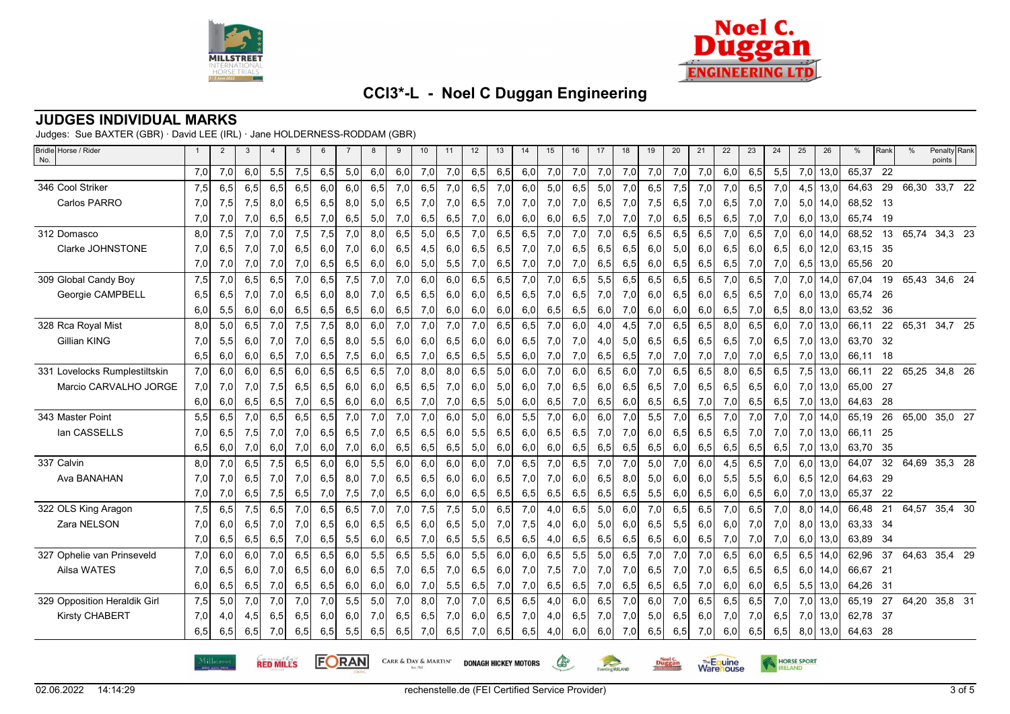



**Warehouse** 

## **CCI3\*-L - Noel C Duggan Engineering**

#### **JUDGES INDIVIDUAL MARKS**

Judges: Sue BAXTER (GBR) · David LEE (IRL) · Jane HOLDERNESS-RODDAM (GBR)

| Bridle Horse / Rider<br>No.   |     | $\overline{2}$ | 3   | 4                | 5   | 6   |       | 8   | 9   | 10                   | 11  | 12  | 13                          | 14  | 15           | 16  | 17              | 18  | 19  | 20     | 21   | 22         | 23  | 24  | 25                 | 26         | %        | Rank | $\%$  | Penalty Rank<br>points |  |
|-------------------------------|-----|----------------|-----|------------------|-----|-----|-------|-----|-----|----------------------|-----|-----|-----------------------------|-----|--------------|-----|-----------------|-----|-----|--------|------|------------|-----|-----|--------------------|------------|----------|------|-------|------------------------|--|
|                               | 7,0 | 7,0            | 6,0 | 5,5              | 7,5 | 6,5 | 5,0   | 6,0 | 6,0 | 7,0                  | 7,0 | 6,5 | 6,5                         | 6,0 | 7,0          | 7,0 | 7,0             | 7,0 | 7,0 | 7,0    | 7,0  | 6,0        | 6,5 | 5,5 | 7,0                | 13,0       | 65,37    | 22   |       |                        |  |
| 346 Cool Striker              | 7,5 | 6,5            | 6,5 | 6,5              | 6,5 | 6,0 | 6,0   | 6,5 | 7,0 | 6,5                  | 7,0 | 6,5 | 7,0                         | 6,0 | 5,0          | 6,5 | 5,0             | 7,0 | 6,5 | 7,5    | 7,0  | 7,0        | 6,5 | 7,0 | 4,5                | 13,0       | 64,63    | 29   | 66,30 | 33,7 22                |  |
| Carlos PARRO                  | 7,0 | 7,5            | 7,5 | 8,0              | 6,5 | 6,5 | 8,0   | 5,0 | 6,5 | 7,0                  | 7,0 | 6,5 | 7,0                         | 7,0 | 7,0          | 7,0 | 6,5             | 7,0 | 7,5 | 6,5    | 7,0  | 6,5        | 7,0 | 7,0 | 5,0                | 14,0       | 68,52 13 |      |       |                        |  |
|                               | 7,0 | 7,0            | 7,0 | 6,5              | 6,5 | 7,0 | 6,5   | 5,0 | 7,0 | 6,5                  | 6,5 | 7,0 | 6,0                         | 6,0 | 6,0          | 6,5 | 7,0             | 7,0 | 7,0 | 6,5    | 6,5  | 6,5        | 7,0 | 7,0 |                    | $6,0$ 13,0 | 65,74    | - 19 |       |                        |  |
| 312 Domasco                   | 8,0 | 7,5            | 7,0 | 7,0              | 7,5 | 7,5 | 7,0   | 8,0 | 6,5 | 5,0                  | 6,5 | 7,0 | 6,5                         | 6,5 | 7,0          | 7,0 | 7,0             | 6,5 | 6,5 | 6,5    | 6,5  | 7,0        | 6,5 | 7,0 | 6,0                | 14,0       | 68,52    | 13   | 65,74 | 34,3 23                |  |
| Clarke JOHNSTONE              | 7,0 | 6,5            | 7,0 | 7,0              | 6,5 | 6,0 | 7,0   | 6,0 | 6,5 | 4,5                  | 6,0 | 6,5 | 6,5                         | 7,0 | 7,0          | 6,5 | 6,5             | 6,5 | 6,0 | 5,0    | 6,0  | 6,5        | 6,0 | 6,5 | 6,0                | 12,0       | 63,15    | -35  |       |                        |  |
|                               | 7,0 | 7,0            | 7,0 | 7,0              | 7,0 | 6,5 | 6,5   | 6,0 | 6,0 | 5,0                  | 5,5 | 7,0 | 6,5                         | 7,0 | 7,0          | 7,0 | 6,5             | 6,5 | 6,0 | 6,5    | 6,5  | 6,5        | 7,0 | 7,0 | 6,5                | 13,0       | 65,56    | 20   |       |                        |  |
| 309 Global Candy Boy          | 7,5 | 7,0            | 6,5 | 6,5              | 7,0 | 6,5 | 7,5   | 7,0 | 7,0 | 6,0                  | 6,0 | 6,5 | 6,5                         | 7,0 | 7,0          | 6,5 | 5,5             | 6,5 | 6,5 | 6,5    | 6,5  | 7,0        | 6,5 | 7,0 |                    | $7,0$ 14,0 | 67,04    | 19   | 65,43 | 34,6 24                |  |
| Georgie CAMPBELL              | 6,5 | 6,5            | 7,0 | 7,0              | 6,5 | 6,0 | 8,0   | 7,0 | 6,5 | 6,5                  | 6,0 | 6,0 | 6,5                         | 6,5 | 7,0          | 6,5 | 7,0             | 7,0 | 6,0 | 6,5    | 6,0  | 6,5        | 6,5 | 7,0 |                    | $6,0$ 13,0 | 65,74    | -26  |       |                        |  |
|                               | 6,0 | 5,5            | 6,0 | 6,0              | 6,5 | 6,5 | 6,5   | 6,0 | 6,5 | 7,0                  | 6,0 | 6,0 | 6,0                         | 6,0 | 6,5          | 6,5 | 6,0             | 7,0 | 6,0 | 6,0    | 6,0  | 6,5        | 7,0 | 6,5 | 8,0                | 13,0       | 63,52    | - 36 |       |                        |  |
| 328 Rca Royal Mist            | 8,0 | 5,0            | 6,5 | 7,0              | 7,5 | 7,5 | 8,0   | 6,0 | 7,0 | 7,0                  | 7,0 | 7,0 | 6.5                         | 6.5 | 7,0          | 6,0 | 4,0             | 4,5 | 7,0 | 6,5    | 6,5  | 8.0        | 6.5 | 6.0 |                    | $7,0$ 13,0 | 66,11    | 22   | 65,31 | 34,7 25                |  |
| Gillian KING                  | 7,0 | 5,5            | 6,0 | 7,0              | 7,0 | 6,5 | 8,0   | 5,5 | 6,0 | 6,0                  | 6,5 | 6,0 | 6,0                         | 6,5 | 7,0          | 7,0 | 4,0             | 5,0 | 6,5 | 6,5    | 6,5  | 6,5        | 7,0 | 6,5 | 7,0                | 13,0       | 63,70    | - 32 |       |                        |  |
|                               | 6,5 | 6,0            | 6,0 | 6,5              | 7,0 | 6,5 | 7,5   | 6,0 | 6,5 | 7,0                  | 6,5 | 6,5 | 5,5                         | 6,0 | 7,0          | 7,0 | 6,5             | 6,5 | 7,0 | 7,0    | 7,0  | 7,0        | 7,0 | 6,5 | 7,0                | 13,0       | 66,11 18 |      |       |                        |  |
| 331 Lovelocks Rumplestiltskin | 7,0 | 6,0            | 6,0 | 6,5              | 6,0 | 6,5 | 6,5   | 6,5 | 7,0 | 8,0                  | 8,0 | 6,5 | 5,0                         | 6,0 | 7,0          | 6,0 | 6,5             | 6,0 | 7,0 | 6,5    | 6,5  | 8,0        | 6,5 | 6,5 |                    | $7,5$ 13,0 | 66,11    | 22   | 65,25 | 34,8 26                |  |
| Marcio CARVALHO JORGE         | 7,0 | 7,0            | 7,0 | 7,5              | 6,5 | 6,5 | 6,0   | 6,0 | 6,5 | 6,5                  | 7,0 | 6,0 | 5,0                         | 6,0 | 7,0          | 6,5 | 6,0             | 6,5 | 6,5 | 7,0    | 6,5  | 6,5        | 6,5 | 6,0 |                    | $7,0$ 13,0 | 65,00    | 27   |       |                        |  |
|                               | 6,0 | 6,0            | 6,5 | 6,5              | 7,0 | 6,5 | 6,0   | 6,0 | 6,5 | 7,0                  | 7,0 | 6,5 | 5,0                         | 6,0 | 6,5          | 7,0 | 6,5             | 6,0 | 6,5 | 6,5    | 7,0  | 7,0        | 6,5 | 6,5 |                    | 7,0 13,0   | 64,63    | - 28 |       |                        |  |
| 343 Master Point              | 5,5 | 6,5            | 7,0 | 6,5              | 6,5 | 6,5 | 7,0   | 7,0 | 7,0 | 7,0                  | 6,0 | 5,0 | 6,0                         | 5,5 | 7,0          | 6,0 | 6,0             | 7,0 | 5,5 | 7,0    | 6,5  | 7,0        | 7,0 | 7,0 | 7,0                | 14,0       | 65,19    | 26   | 65,00 | 35,0 27                |  |
| lan CASSELLS                  | 7,0 | 6,5            | 7,5 | 7,0              | 7,0 | 6,5 | 6,5   | 7,0 | 6,5 | 6,5                  | 6,0 | 5,5 | 6,5                         | 6,0 | 6,5          | 6,5 | 7,0             | 7,0 | 6,0 | 6,5    | 6,5  | 6,5        | 7,0 | 7,0 |                    | $7,0$ 13,0 | 66,11 25 |      |       |                        |  |
|                               | 6,5 | 6,0            | 7,0 | 6,0              | 7,0 | 6,0 | 7,0   | 6,0 | 6,5 | 6,5                  | 6,5 | 5,0 | 6,0                         | 6,0 | 6,0          | 6,5 | 6,5             | 6,5 | 6,5 | 6,0    | 6,5  | 6,5        | 6,5 | 6,5 | 7,0                | 13,0       | 63,70    | -35  |       |                        |  |
| 337 Calvin                    | 8,0 | 7,0            | 6,5 | 7,5              | 6,5 | 6,0 | 6,0   | 5,5 | 6,0 | 6,0                  | 6,0 | 6,0 | 7,0                         | 6,5 | 7,0          | 6,5 | 7,0             | 7,0 | 5,0 | 7,0    | 6,0  | 4,5        | 6,5 | 7,0 | 6,0                | 13,0       | 64,07    | 32   |       | 64,69 35,3 28          |  |
| Ava BANAHAN                   | 7,0 | 7,0            | 6,5 | 7,0              | 7,0 | 6,5 | 8,0   | 7,0 | 6,5 | 6,5                  | 6,0 | 6,0 | 6,5                         | 7,0 | 7,0          | 6,0 | 6,5             | 8,0 | 5,0 | 6,0    | 6,0  | 5,5        | 5,5 | 6,0 | 6,5                | 12,0       | 64,63    | - 29 |       |                        |  |
|                               | 7,0 | 7,0            | 6,5 | 7,5              | 6,5 | 7,0 | 7,5   | 7,0 | 6,5 | 6,0                  | 6,0 | 6,5 | 6,5                         | 6,5 | 6,5          | 6,5 | 6,5             | 6,5 | 5,5 | 6,0    | 6,5  | 6,0        | 6,5 | 6,0 |                    | 7,0 13,0   | 65,37    | 22   |       |                        |  |
| 322 OLS King Aragon           | 7,5 | 6,5            | 7,5 | 6,5              | 7,0 | 6,5 | 6,5   | 7,0 | 7,0 | 7,5                  | 7,5 | 5,0 | 6,5                         | 7,0 | 4,0          | 6,5 | 5,0             | 6,0 | 7,0 | 6,5    | 6,5  | 7,0        | 6,5 | 7,0 | 8,0                | 14.0       | 66,48    | 21   | 64,57 | 35,4 30                |  |
| Zara NELSON                   | 7,0 | 6,0            | 6,5 | 7,0              | 7,0 | 6,5 | 6,0   | 6,5 | 6,5 | 6,0                  | 6,5 | 5,0 | 7,0                         | 7,5 | 4,0          | 6,0 | 5,0             | 6,0 | 6,5 | 5,5    | 6,0  | 6,0        | 7,0 | 7,0 |                    | $8,0$ 13,0 | 63,33    | - 34 |       |                        |  |
|                               | 7,0 | 6,5            | 6,5 | 6,5              | 7,0 | 6,5 | 5,5   | 6,0 | 6,5 | 7,0                  | 6,5 | 5,5 | 6,5                         | 6,5 | 4,0          | 6,5 | 6,5             | 6,5 | 6,5 | 6,0    | 6,5  | 7,0        | 7,0 | 7,0 | 6,0                | 13,0       | 63,89    | -34  |       |                        |  |
| 327 Ophelie van Prinseveld    | 7,0 | 6,0            | 6,0 | 7,0              | 6,5 | 6,5 | 6,0   | 5,5 | 6,5 | 5,5                  | 6,0 | 5,5 | 6,0                         | 6,0 | 6,5          | 5,5 | 5,0             | 6,5 | 7,0 | 7,0    | 7,0  | 6,5        | 6.0 | 6.5 | 6.5                | 14.0       | 62,96    | 37   | 64,63 | 35,4 29                |  |
| Ailsa WATES                   | 7,0 | 6,5            | 6,0 | 7,0              | 6,5 | 6,0 | 6,0   | 6,5 | 7,0 | 6,5                  | 7,0 | 6,5 | 6,0                         | 7,0 | 7,5          | 7,0 | 7,0             | 7,0 | 6,5 | 7,0    | 7,0  | 6,5        | 6,5 | 6,5 | 6.0                | 14,0       | 66,67    | 21   |       |                        |  |
|                               | 6,0 | 6,5            | 6,5 | 7,0              | 6,5 | 6,5 | 6,0   | 6,0 | 6,0 | 7,0                  | 5,5 | 6,5 | 7,0                         | 7,0 | 6,5          | 6,5 | 7,0             | 6,5 | 6,5 | 6,5    | 7,0  | 6,0        | 6,0 | 6,5 | 5,5                | 13,0       | 64,26    | - 31 |       |                        |  |
| 329 Opposition Heraldik Girl  | 7,5 | 5,0            | 7,0 | 7,0              | 7,0 | 7,0 | 5,5   | 5,0 | 7,0 | 8,0                  | 7,0 | 7,0 | 6,5                         | 6,5 | 4,0          | 6,0 | 6,5             | 7,0 | 6,0 | 7,0    | 6,5  | 6,5        | 6,5 | 7.0 | 7.0                | 13.0       | 65,19    | 27   | 64.20 | 35,8 31                |  |
| <b>Kirsty CHABERT</b>         | 7,0 | 4,0            | 4,5 | 6,5              | 6,5 | 6,0 | 6,0   | 7,0 | 6,5 | 6,5                  | 7,0 | 6,0 | 6,5                         | 7,0 | 4,0          | 6,5 | 7,0             | 7,0 | 5,0 | 6,5    | 6,0  | 7,0        | 7,0 | 6,5 |                    | $7,0$ 13,0 | 62,78    | - 37 |       |                        |  |
|                               | 6,5 | 6,5            | 6,5 | 7,0              | 6,5 | 6,5 | 5,5   | 6,5 | 6,5 | 7,0                  | 6,5 | 7,0 | 6,5                         | 6,5 | 4,0          | 6,0 | 6,0             | 7,0 | 6,5 | 6,5    | 7,0  | 6,0        | 6,5 | 6,5 | 8,0                | 13,0       | 64,63 28 |      |       |                        |  |
|                               |     | Milløtree      |     | <b>RED MILLS</b> |     |     | FORAN |     |     | CARR & DAY & MARTIN' |     |     | <b>DONAGH HICKEY MOTORS</b> |     | $\mathbb{G}$ |     | Eventing RELAND |     |     | Duggan | Ware | The Equine |     |     | <b>HORSE SPORT</b> |            |          |      |       |                        |  |

Eventing RELAND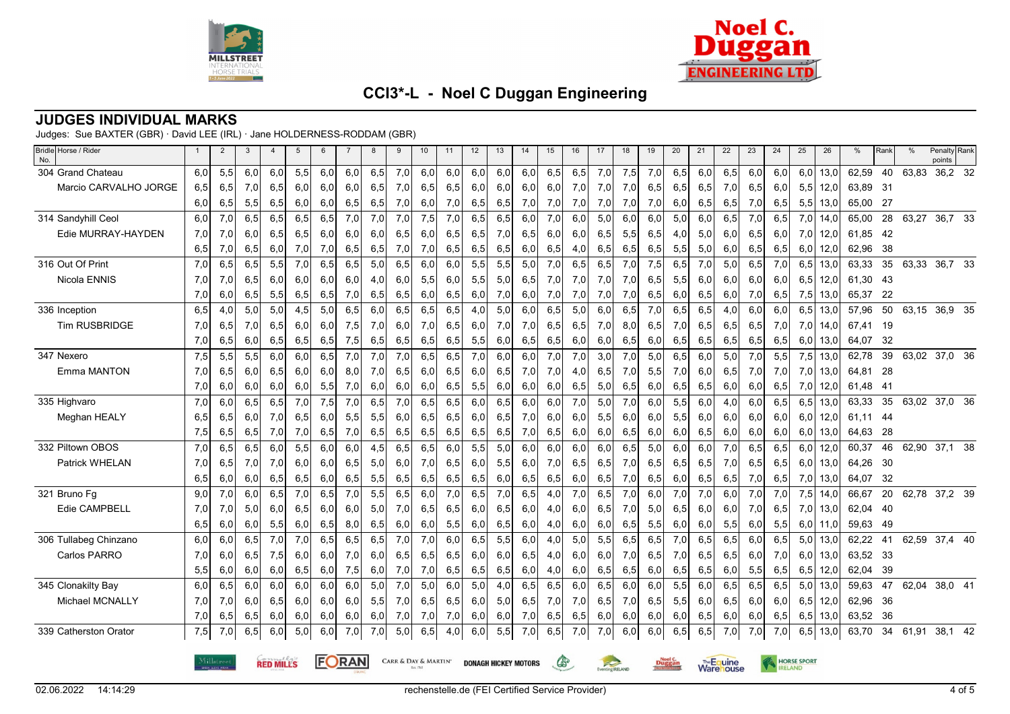



### **JUDGES INDIVIDUAL MARKS**

Judges: Sue BAXTER (GBR) · David LEE (IRL) · Jane HOLDERNESS-RODDAM (GBR)

| Bridle Horse / Rider<br>No. |                                                                                                     | $\overline{2}$ | 3   |     | 5   | 6   |     | 8   | 9   | 10  | 11  | 12  | 13  | 14                                   | 15  | 16  | 17     | 18  | 19                              | 20  | 21  | 22                           | 23  | 24  | 25  | 26   | %        | Rank | $\frac{0}{0}$ | Penalty Rank<br>points |  |
|-----------------------------|-----------------------------------------------------------------------------------------------------|----------------|-----|-----|-----|-----|-----|-----|-----|-----|-----|-----|-----|--------------------------------------|-----|-----|--------|-----|---------------------------------|-----|-----|------------------------------|-----|-----|-----|------|----------|------|---------------|------------------------|--|
| 304 Grand Chateau           | 6,0                                                                                                 | 5,5            | 6,0 | 6,0 | 5,5 | 6,0 | 6,0 | 6,5 | 7,0 | 6,0 | 6,0 | 6,0 | 6,0 | 6,0                                  | 6,5 | 6,5 | 7,0    | 7,5 | 7,0                             | 6,5 | 6,0 | 6,5                          | 6,0 | 6,0 | 6,0 | 13,0 | 62,59    | 40   | 63,83         | 36,2 32                |  |
| Marcio CARVALHO JORGE       | 6,5                                                                                                 | 6,5            | 7,0 | 6,5 | 6,0 | 6,0 | 6,0 | 6,5 | 7,0 | 6,5 | 6,5 | 6,0 | 6,0 | 6,0                                  | 6,0 | 7,0 | 7,0    | 7,0 | 6,5                             | 6,5 | 6,5 | 7,0                          | 6,5 | 6,0 | 5,5 | 12,0 | 63,89    | - 31 |               |                        |  |
|                             | 6,0                                                                                                 | 6,5            | 5,5 | 6,5 | 6,0 | 6,0 | 6,5 | 6,5 | 7,0 | 6,0 | 7,0 | 6,5 | 6,5 | 7,0                                  | 7,0 | 7,0 | 7,0    | 7,0 | 7,0                             | 6,0 | 6,5 | 6,5                          | 7,0 | 6,5 | 5,5 | 13,0 | 65,00    | -27  |               |                        |  |
| 314 Sandyhill Ceol          | 6,0                                                                                                 | 7,0            | 6,5 | 6,5 | 6,5 | 6,5 | 7,0 | 7,0 | 7,0 | 7,5 | 7,0 | 6,5 | 6,5 | 6,0                                  | 7,0 | 6,0 | 5,0    | 6,0 | 6,0                             | 5,0 | 6,0 | 6,5                          | 7,0 | 6,5 | 7,0 | 14,0 | 65,00    | 28   | 63,27         | 36,7 33                |  |
| Edie MURRAY-HAYDEN          | 7,0                                                                                                 | 7,0            | 6,0 | 6,5 | 6,5 | 6,0 | 6,0 | 6,0 | 6,5 | 6,0 | 6,5 | 6,5 | 7,0 | 6,5                                  | 6,0 | 6,0 | 6,5    | 5,5 | 6,5                             | 4,0 | 5,0 | 6,0                          | 6,5 | 6,0 | 7,0 | 12,0 | 61,85    | - 42 |               |                        |  |
|                             | 6,5                                                                                                 | 7,0            | 6,5 | 6,0 | 7,0 | 7,0 | 6,5 | 6,5 | 7,0 | 7,0 | 6,5 | 6,5 | 6,5 | 6,0                                  | 6,5 | 4,0 | 6,5    | 6,5 | 6,5                             | 5,5 | 5,0 | 6,0                          | 6,5 | 6,5 | 6,0 | 12,0 | 62,96    | 38   |               |                        |  |
| 316 Out Of Print            | 7,0                                                                                                 | 6,5            | 6,5 | 5,5 | 7,0 | 6,5 | 6,5 | 5,0 | 6,5 | 6,0 | 6,0 | 5,5 | 5,5 | 5,0                                  | 7,0 | 6,5 | 6,5    | 7,0 | 7,5                             | 6,5 | 7,0 | 5,0                          | 6,5 | 7,0 | 6,5 | 13,0 | 63,33    | 35   | 63,33         | 36,7 33                |  |
| Nicola ENNIS                | 7,0                                                                                                 | 7,0            | 6,5 | 6,0 | 6,0 | 6,0 | 6,0 | 4,0 | 6,0 | 5,5 | 6,0 | 5,5 | 5,0 | 6,5                                  | 7,0 | 7,0 | 7,0    | 7,0 | 6,5                             | 5,5 | 6,0 | 6,0                          | 6,0 | 6,0 | 6,5 | 12,0 | 61,30    | -43  |               |                        |  |
|                             | 7,0                                                                                                 | 6,0            | 6,5 | 5,5 | 6,5 | 6,5 | 7,0 | 6,5 | 6,5 | 6,0 | 6,5 | 6,0 | 7,0 | 6,0                                  | 7,0 | 7,0 | 7,0    | 7,0 | 6,5                             | 6,0 | 6,5 | 6,0                          | 7,0 | 6,5 | 7,5 | 13,0 | 65,37    | -22  |               |                        |  |
| 336 Inception               | 6,5                                                                                                 | 4,0            | 5,0 | 5,0 | 4,5 | 5,0 | 6,5 | 6,0 | 6,5 | 6,5 | 6,5 | 4,0 | 5,0 | 6,0                                  | 6,5 | 5,0 | 6,0    | 6,5 | 7,0                             | 6,5 | 6,5 | 4,0                          | 6,0 | 6,0 | 6,5 | 13,0 | 57,96    | 50   |               | 63,15 36,9 35          |  |
| <b>Tim RUSBRIDGE</b>        | 7,0                                                                                                 | 6,5            | 7,0 | 6,5 | 6,0 | 6,0 | 7,5 | 7,0 | 6,0 | 7,0 | 6,5 | 6,0 | 7,0 | 7,0                                  | 6,5 | 6,5 | 7,0    | 8,0 | 6,5                             | 7,0 | 6,5 | 6,5                          | 6,5 | 7,0 | 7,0 | 14,0 | 67,41    | 19   |               |                        |  |
|                             | 7,0                                                                                                 | 6,5            | 6,0 | 6,5 | 6,5 | 6,5 | 7,5 | 6,5 | 6,5 | 6,5 | 6,5 | 5,5 | 6,0 | 6,5                                  | 6,5 | 6,0 | 6,0    | 6,5 | 6,0                             | 6,5 | 6,5 | 6,5                          | 6,5 | 6,5 | 6,0 | 13,0 | 64,07    | - 32 |               |                        |  |
| 347 Nexero                  | 7,5                                                                                                 | 5,5            | 5,5 | 6,0 | 6,0 | 6,5 | 7,0 | 7,0 | 7,0 | 6,5 | 6,5 | 7,0 | 6,0 | 6,0                                  | 7,0 | 7,0 | 3,0    | 7,0 | 5,0                             | 6,5 | 6,0 | 5,0                          | 7,0 | 5,5 | 7,5 | 13,0 | 62,78    | 39   | 63,02         | 37,0 36                |  |
| Emma MANTON                 | 7,0                                                                                                 | 6,5            | 6,0 | 6,5 | 6,0 | 6,0 | 8,0 | 7,0 | 6,5 | 6,0 | 6,5 | 6,0 | 6,5 | 7,0                                  | 7,0 | 4,0 | 6,5    | 7,0 | 5,5                             | 7,0 | 6,0 | 6,5                          | 7,0 | 7,0 | 7,0 | 13,0 | 64,81    | 28   |               |                        |  |
|                             | 7,0                                                                                                 | 6,0            | 6,0 | 6,0 | 6,0 | 5,5 | 7,0 | 6,0 | 6,0 | 6,0 | 6,5 | 5,5 | 6,0 | 6,0                                  | 6,0 | 6,5 | 5,0    | 6,5 | 6,0                             | 6,5 | 6,5 | 6,0                          | 6,0 | 6,5 | 7,0 | 12,0 | 61,48    | -41  |               |                        |  |
| 335 Highvaro                | 7,0                                                                                                 | 6,0            | 6,5 | 6,5 | 7,0 | 7,5 | 7,0 | 6,5 | 7,0 | 6,5 | 6,5 | 6,0 | 6,5 | 6,0                                  | 6,0 | 7,0 | 5,0    | 7,0 | 6,0                             | 5,5 | 6,0 | 4,0                          | 6,0 | 6,5 | 6,5 | 13,0 | 63,33    | 35   |               | 63,02 37,0 36          |  |
| Meghan HEALY                | 6,5                                                                                                 | 6,5            | 6,0 | 7,0 | 6,5 | 6,0 | 5,5 | 5,5 | 6,0 | 6,5 | 6,5 | 6,0 | 6,5 | 7,0                                  | 6,0 | 6,0 | 5,5    | 6,0 | 6,0                             | 5,5 | 6,0 | 6,0                          | 6,0 | 6,0 | 6,0 | 12,0 | 61,11    | -44  |               |                        |  |
|                             | 7,5                                                                                                 | 6,5            | 6,5 | 7,0 | 7,0 | 6,5 | 7,0 | 6,5 | 6,5 | 6,5 | 6,5 | 6,5 | 6,5 | 7,0                                  | 6,5 | 6,0 | 6,0    | 6,5 | 6,0                             | 6,0 | 6,5 | 6,0                          | 6,0 | 6,0 | 6,0 | 13,0 | 64,63    | 28   |               |                        |  |
| 332 Piltown OBOS            | 7,0                                                                                                 | 6,5            | 6,5 | 6.0 | 5,5 | 6.0 | 6,0 | 4,5 | 6,5 | 6,5 | 6.0 | 5,5 | 5.0 | 6.0                                  | 6.0 | 6.0 | 6.0    | 6,5 | 5,0                             | 6,0 | 6,0 | 7,0                          | 6,5 | 6,5 | 6,0 | 12,0 | 60,37    | 46   | 62,90         | 37.1 38                |  |
| Patrick WHELAN              | 7,0                                                                                                 | 6,5            | 7,0 | 7,0 | 6,0 | 6,0 | 6,5 | 5,0 | 6,0 | 7,0 | 6,5 | 6,0 | 5,5 | 6,0                                  | 7,0 | 6,5 | 6,5    | 7,0 | 6,5                             | 6,5 | 6,5 | 7,0                          | 6,5 | 6,5 | 6,0 | 13,0 | 64,26    | 30   |               |                        |  |
|                             | 6,5                                                                                                 | 6,0            | 6,0 | 6,5 | 6,5 | 6,0 | 6,5 | 5,5 | 6,5 | 6,5 | 6,5 | 6,5 | 6,0 | 6,5                                  | 6,5 | 6,0 | 6,5    | 7,0 | 6,5                             | 6,0 | 6,5 | 6,5                          | 7,0 | 6,5 | 7,0 | 13,0 | 64,07    | 32   |               |                        |  |
| 321 Bruno Fg                | 9,0                                                                                                 | 7,0            | 6,0 | 6,5 | 7,0 | 6,5 | 7,0 | 5,5 | 6,5 | 6,0 | 7,0 | 6,5 | 7,0 | 6,5                                  | 4,0 | 7,0 | 6,5    | 7,0 | 6,0                             | 7,0 | 7,0 | 6,0                          | 7,0 | 7,0 | 7,5 | 14,0 | 66,67    | 20   |               | 62,78 37,2 39          |  |
| Edie CAMPBELL               | 7,0                                                                                                 | 7,0            | 5,0 | 6,0 | 6,5 | 6,0 | 6,0 | 5,0 | 7,0 | 6,5 | 6,5 | 6,0 | 6,5 | 6,0                                  | 4,0 | 6,0 | 6,5    | 7,0 | 5,0                             | 6,5 | 6,0 | 6,0                          | 7,0 | 6,5 | 7,0 | 13,0 | 62,04    | - 40 |               |                        |  |
|                             | 6,5                                                                                                 | 6,0            | 6,0 | 5,5 | 6,0 | 6,5 | 8,0 | 6,5 | 6,0 | 6,0 | 5,5 | 6,0 | 6,5 | 6,0                                  | 4,0 | 6,0 | 6,0    | 6,5 | 5,5                             | 6,0 | 6,0 | 5,5                          | 6,0 | 5,5 | 6,0 | 11,0 | 59,63    | -49  |               |                        |  |
| 306 Tullabeg Chinzano       | 6,0                                                                                                 | 6,0            | 6,5 | 7,0 | 7,0 | 6,5 | 6,5 | 6,5 | 7,0 | 7,0 | 6,0 | 6,5 | 5,5 | 6,0                                  | 4,0 | 5,0 | 5,5    | 6,5 | 6,5                             | 7,0 | 6,5 | 6,5                          | 6,0 | 6,5 | 5,0 | 13,0 | 62,22    | 41   | 62,59         | 37,4 40                |  |
| Carlos PARRO                | 7,0                                                                                                 | 6,0            | 6,5 | 7,5 | 6,0 | 6,0 | 7,0 | 6,0 | 6,5 | 6,5 | 6,5 | 6,0 | 6,0 | 6,5                                  | 4,0 | 6,0 | 6,0    | 7,0 | 6,5                             | 7,0 | 6,5 | 6,5                          | 6,0 | 7,0 | 6,0 | 13,0 | 63,52 33 |      |               |                        |  |
|                             | 5,5                                                                                                 | 6,0            | 6,0 | 6,0 | 6,5 | 6,0 | 7,5 | 6,0 | 7,0 | 7,0 | 6,5 | 6,5 | 6,5 | 6,0                                  | 4,0 | 6,0 | 6,5    | 6,5 | 6,0                             | 6,5 | 6,5 | 6,0                          | 5,5 | 6,5 | 6,5 | 12,0 | 62,04    | -39  |               |                        |  |
| 345 Clonakilty Bay          | 6,0                                                                                                 | 6,5            | 6,0 | 6,0 | 6,0 | 6,0 | 6,0 | 5,0 | 7,0 | 5,0 | 6,0 | 5,0 | 4,0 | 6,5                                  | 6,5 | 6,0 | 6,5    | 6,0 | 6,0                             | 5,5 | 6,0 | 6,5                          | 6,5 | 6,5 | 5,0 | 13,0 | 59,63    | 47   | 62,04         | 38,0 41                |  |
| Michael MCNALLY             | 7,0                                                                                                 | 7,0            | 6,0 | 6,5 | 6,0 | 6,0 | 6,0 | 5,5 | 7,0 | 6,5 | 6,5 | 6,0 | 5,0 | 6,5                                  | 7,0 | 7,0 | 6,5    | 7,0 | 6,5                             | 5,5 | 6,0 | 6,5                          | 6,0 | 6,0 | 6,5 | 12,0 | 62,96    | 36   |               |                        |  |
|                             | 7,0                                                                                                 | 6,5            | 6,5 | 6,0 | 6,0 | 6,0 | 6,0 | 6,0 | 7,0 | 7,0 | 7,0 | 6,0 | 6,0 | 7,0                                  | 6,5 | 6,5 | 6,0    | 6,0 | 6,0                             | 6,0 | 6,5 | 6,0                          | 6,0 | 6,5 | 6,5 | 13,0 | 63,52    | -36  |               |                        |  |
| 339 Catherston Orator       | 7,5                                                                                                 | 7,0            | 6,5 | 6,0 | 5,0 | 6,0 | 7,0 | 7,0 | 5,0 | 6,5 | 4,0 | 6,0 | 5,5 | 7,0                                  | 6,5 | 7,0 | 7,0    | 6,0 | 6,0                             | 6,5 | 6,5 | 7,0                          | 7,0 | 7,0 | 6,5 | 13,0 | 63,70    | 34   | 61,91         | 38,1 42                |  |
|                             | FORAN<br>CARR & DAY & MARTIN'<br>Milløtreet<br>Œ<br><b>RED MILLS</b><br><b>DONAGH HICKEY MOTORS</b> |                |     |     |     |     |     |     |     |     |     |     |     | $\approx$<br>Eventing <b>IRELAND</b> |     |     | Duggan |     | The Equine<br><b>Ware</b> louse |     |     | <b>HORSE SPORT</b><br>RELAND |     |     |     |      |          |      |               |                        |  |